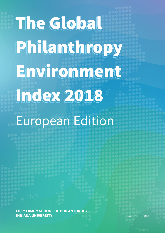# The Global Philanthropy Environment Index 2018

# European Edition

LILLY FAMILY SCHOOL OF PHILANTHROPY INDIANA UNIVERSITY

OCTOBER, 2018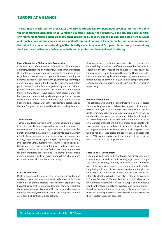# **EUROPE AT A GLANCE**

**The European special edition of the 2018 Global Philanthropy Environment Index provides information about the philanthropic landscape of 30 European countries, measuring regulatory, political, and socio-cultural environments through a standard instrument completed by country-based experts. The data offers accurate and timely information to policy makers, philanthropic and nonprofit leaders, the business community, and the public to increase understanding of the diversity and uniqueness of European philanthropy, by examining the incentives and barriers facing individuals and organizations involved in philanthropy.** 

### **Ease of Operating a Philanthropic Organization**

In Europe, both informal and institutionalized philanthropy is advancing, representing an increasingly diverse community across the continent. In most countries, unregistered philanthropic organizations are allowed to operate. However, to enjoy tax benefits and be able to cooperate with governments, philanthropic organizations are required to be legally recognized and obtain public-benefit/charitable status granted by the authority. In general, reporting requirements—which are clear, but different from country to country—have become more rigorous, and it has become more burdensome for philanthropic organizations to meet the standards of anti–money laundering and counter-terrorist financing guidelines, as well as the requirements established by the new European Union General Data Protection Regulation.

#### **Tax Incentives**

There are a wide range of tax incentives for donors who aim to give to registered public-benefit organizations or charities. However, the requirements for philanthropic organizations to receive the publicbenefit or charitable status vary from country to country. Almost all of the European countries offer tax incentives to corporations, making corporate giving a significant part of private philanthropy in the continent. Individuals in several countries including Albania, Bosnia and Herzegovina, Finland, Hungary, Ireland, Serbia, and Sweden, however, are not qualified for tax deduction or credit for their charitable contributions. Tax-exempt philanthropic organizations are eligible for tax exemptions from a broad range of taxes in almost all countries except Turkey.

#### **Cross-Border Flows**

Most European countries do not have limitations for sending and receiving cross-border donations. Indeed, the European Union's nondiscrimination principle related to tax treatment of philanthropy has established that cross-border donations could be eligible for the same tax incentives if comparability can be shown between the domestic and foreign (European Union– and European Economic Area–based) philanthropic organizations.

However, because of differing tax system between countries, the comparability procedure is difficult and often burdensome. In addition to the strict regulations to avoid international money laundering and terrorist financing, Hungary and Russia have also introduced special regulations and reporting requirements for foreign-funded philanthropic organizations, categorizing them as "organizations supported from abroad" and "foreign agents" respectively.

#### **Political Environment**

The political environment for philanthropy differs widely across Europe. While government policies actively support philanthropy in Western Europe, political tension between governments and human rights organizations have grown in Eastern Europe. Nevertheless, collaboration between the public and philanthropic sectors is outstanding in Europe. Indeed, within the European Union, philanthropic organizations are encouraged to cooperate with governmental agencies and participate in every stage of policymaking processes. And, while the level of available government funding has decreased across the continent as a consequence of the 2008 economic crisis, public spending is still a significant source for philanthropic organizations.

### **Socio-Cultural Environment**

Institutionalized giving and volunteering are highly developed in Western Europe and also rapidly emerging in Eastern Europe. The values of charity, solidarity and compassion—important parts of the pluralistic religious environment—are embedded in long-lasting philanthropic traditions across Europe. Religion has emphasized the importance of offering help to those in need and informal philanthropy has been part of everyday life for centuries in Europe. Because of different historical and political paths, the philanthropic infrastructure varies in Europe, and we observe significant differences between Western and Eastern Europe. Overall, philanthropic organizations enjoy higher levels of public trust and are more professionalized in Western European countries than in Eastern European countries.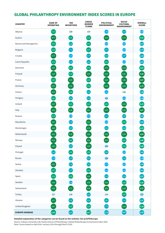# **GLOBAL PHILANTHROPY ENVIRONMENT INDEX SCORES IN EUROPE**

| <b>COUNTRY</b>         | <b>EASE OF</b><br><b>OPERATING</b> | <b>TAX</b><br><b>INCENTIVES</b> | <b>CROSS-</b><br><b>BORDER</b><br><b>FLOWS</b> | <b>POLITICAL</b><br><b>ENVIRONMENT</b> | SOCIO-<br><b>CULTURAL</b><br><b>ENVIRONMENT</b> | <b>OVERALL</b><br><b>SCORE</b> |
|------------------------|------------------------------------|---------------------------------|------------------------------------------------|----------------------------------------|-------------------------------------------------|--------------------------------|
| Albania                | $\left[4,23\right]$                | 2,40                            | 2,00                                           | (3, 45)                                | 3,50                                            | 6, 12                          |
| Austria                | 4,57                               | (4,00)                          | (4, 20)                                        | 4,60                                   | 4,70                                            | 4,41                           |
| Bosnia and Herzegovina | 4,33                               | 3,50                            | 4,00                                           | 3,00                                   | 3,00                                            | 3,57                           |
| Bulgaria               | (4,00)                             | 3,75                            | 4,25                                           | (3, 75)                                | 3,00                                            | 3,75                           |
| Croatia                | 4,77                               | 3,35                            | 3,75                                           | 3,50                                   | 3,80                                            | 3,83                           |
| Czech Republic         | 4,33                               | 3,50                            | 3,60                                           | (4,00)                                 | 3,00                                            | 3,69                           |
| Denmark                | 4,83                               | 4,00                            | 4,00                                           | 4,75                                   | 4,50                                            | 4,42                           |
| Finland                | 5,00                               | (4,00)                          | 5,00                                           | 5,00                                   | 5,00                                            | 4,80                           |
| France                 | 4,33                               | 5,00                            | 4,00                                           | 5,00                                   | 5,00                                            | 4,67                           |
| Germany                | 4,67                               | 5,00                            | (4,00)                                         | 5,00                                   | 5,00                                            | (4, 73)                        |
| Greece                 | 4,63                               | 4,00                            | 3,60                                           | 3,30                                   | 2,40                                            | 3,59                           |
| Hungary                | (4,00)                             | 3,50                            | 3,50                                           | 2,50                                   | 3,00                                            | 3,30                           |
| Ireland                | 4,67                               | 4,25                            | 4,25                                           | (4,00)                                 | (4,50)                                          | 4,33                           |
| Italy                  | 4,83                               | 4,50                            | 4,50                                           | 5,00                                   | (4, 50)                                         | (4, 67)                        |
| Kosovo                 | 4,07                               | 3,00                            | 3,25                                           | 3,75                                   | 3,50                                            | 3,51                           |
| Macedonia              | 4,67                               | 3,50                            | 4,50                                           | 3,00                                   | (4,00)                                          | 3,93                           |
| Montenegro             | 4,80                               | 3,50                            | 4,70                                           | 3,55                                   | 3,60                                            | 4,03                           |
| Netherlands            | 5,00                               | 4,50                            | 5,00                                           | 4,50                                   | 5,00                                            | $^{4,80}$                      |
| Norway                 | 5,00                               | 4,00                            | 4,50                                           | 4,50                                   | 4,00                                            | 4,40                           |
| Poland                 | 5,00                               | 3,50                            | $5,00$                                         | 2,50                                   | (4,00)                                          | (4,00)                         |
| Portugal               | 3,67                               | 4,00                            | 4,00                                           | 3,60                                   | 3,00                                            | 3,65                           |
| Russia                 | 3,33                               | 3,50                            | 3,50                                           | 2,80                                   | 3,50                                            | 353                            |
| Serbia                 | $\left[4,67\right]$                | 3,50                            | 3,50                                           | 3,35                                   | 3,00                                            | 3,60                           |
| Slovakia               | (4,27)                             | 3,70                            | (4,05)                                         | 3,10                                   | 3,00                                            | 3,62                           |
| Spain                  | 4,33                               | 4,00                            | 4,50                                           | 3,50                                   | 3,50                                            | 3,97                           |
| Sweden                 | $5,00$                             | 3,00                            | 5,00                                           | (4, 50)                                | (4,00)                                          | (4, 30)                        |
| Switzerland            | $5,00$                             | 4,75                            | 4,50                                           | 4,50                                   | 5,00                                            | (4, 75)                        |
| Turkey                 | 2,17                               | 2,00                            | 3,50                                           | 2,00                                   | 4,00                                            | 2,73                           |
| Ukraine                | $\left[4,57\right]$                | 3,85                            | 3,90                                           | 3,85                                   | 3,70                                            | 3,97                           |
| United Kingdom         | 4,67                               | (4,00)                          | 4,00                                           | 3,75                                   | (4, 50)                                         | (4, 18)                        |
| <b>EUROPE AVERAGE</b>  | (4, 45)                            | 3, 77                           | (4,07)                                         | 3,79                                   | 3,87                                            | (3,99)                         |

### **Detailed explanation of the categories can be found on the website: bit.ly/GPEIEurope**

Source: Indiana University Lilly Family School of Philanthropy | Global Philanthropy Environment Index 2018 Note: Scores based on data from January 2014 through March 2018.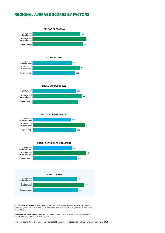# **REGIONAL AVERAGE SCORES BY FACTORS**



**EASTERN AND SOUTHERN EUROPE:** Albania, Bosnia and Herzegovina, Bulgaria, Croatia, Czech Republic,<br>Greece, Hungary, Italy, Kosovo, Macedonia, Montenegro, Poland, Portugal, Russia, Serbia, Slovakia, Spain, Turkey, Ukraine

**NORTHERN AND WESTERN EUROPE:** Austria, Denmark, Finland, France, Germany, Ireland, Netherlands, Norway, Sweden, Switzerland, United Kingdom

Source: Indiana University Lilly Family School of Philanthropy | Global Philanthropy Environment Index 2018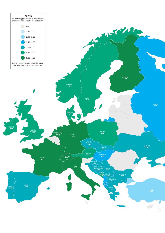